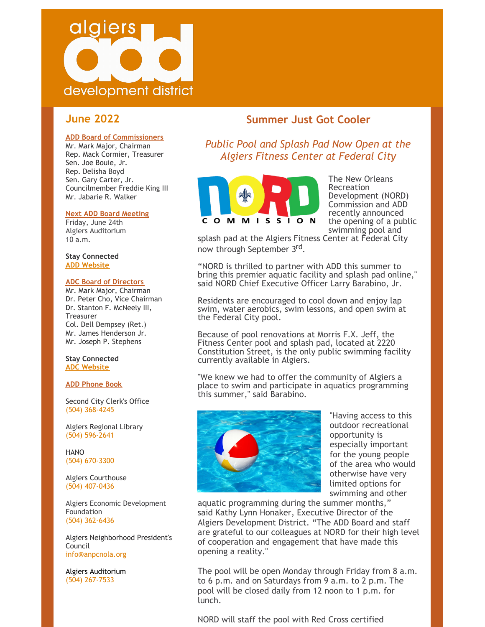

# **June 2022**

#### **ADD Board of Commissioners**

Mr. Mark Major, Chairman Rep. Mack Cormier, Treasurer Sen. Joe Bouie, Jr. Rep. Delisha Boyd Sen. Gary Carter, Jr. Councilmember Freddie King III Mr. Jabarie R. Walker

#### **Next ADD Board Meeting**

Friday, June 24th Algiers Auditorium 10 a.m.

**Stay Connected ADD [Website](http://algiersdevelopment.com/)**

#### **ADC Board of Directors**

Mr. Mark Major, Chairman Dr. Peter Cho, Vice Chairman Dr. Stanton F. McNeely III, **Treasurer** Col. Dell Dempsey (Ret.) Mr. James Henderson Jr. Mr. Joseph P. Stephens

**Stay Connected ADC [Website](http://algiersdevelopment.com/adc/)**

#### **ADD Phone Book**

Second City Clerk's Office (504) 368-4245

Algiers Regional Library (504) 596-2641

HANO (504) 670-3300

Algiers Courthouse (504) 407-0436

Algiers Economic Development Foundation (504) 362-6436

Algiers Neighborhood President's Council [info@anpcnola.org](mailto:info@anpcnola.org)

Algiers Auditorium (504) 267-7533

## **Summer Just Got Cooler**

*Public Pool and Splash Pad Now Open at the Algiers Fitness Center at Federal City*



The New Orleans Recreation Development (NORD) Commission and ADD recently announced the opening of a public swimming pool and

splash pad at the Algiers Fitness Center at Federal City now through September 3rd.

"NORD is thrilled to partner with ADD this summer to bring this premier aquatic facility and splash pad online," said NORD Chief Executive Officer Larry Barabino, Jr.

Residents are encouraged to cool down and enjoy lap swim, water aerobics, swim lessons, and open swim at the Federal City pool.

Because of pool renovations at Morris F.X. Jeff, the Fitness Center pool and splash pad, located at 2220 Constitution Street, is the only public swimming facility currently available in Algiers.

"We knew we had to offer the community of Algiers a place to swim and participate in aquatics programming this summer," said Barabino.



"Having access to this outdoor recreational opportunity is especially important for the young people of the area who would otherwise have very limited options for swimming and other

aquatic programming during the summer months," said Kathy Lynn Honaker, Executive Director of the Algiers Development District. "The ADD Board and staff are grateful to our colleagues at NORD for their high level of cooperation and engagement that have made this opening a reality."

The pool will be open Monday through Friday from 8 a.m. to 6 p.m. and on Saturdays from 9 a.m. to 2 p.m. The pool will be closed daily from 12 noon to 1 p.m. for lunch.

NORD will staff the pool with Red Cross certified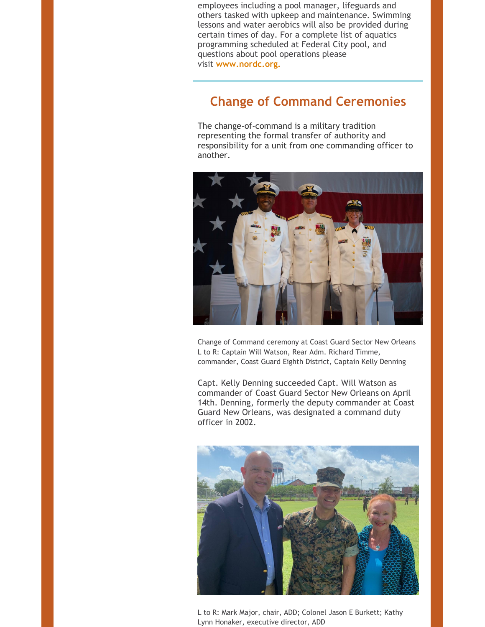employees including a pool manager, lifeguards and others tasked with upkeep and maintenance. Swimming lessons and water aerobics will also be provided during certain times of day. For a complete list of aquatics programming scheduled at Federal City pool, and questions about pool operations please visit **[www.nordc.org.](http://www.nordc.org/)**

# **Change of Command Ceremonies**

The change-of-command is a military tradition representing the formal transfer of authority and responsibility for a unit from one commanding officer to another.



Change of Command ceremony at Coast Guard Sector New Orleans L to R: Captain Will Watson, Rear Adm. Richard Timme, commander, Coast Guard Eighth District, Captain Kelly Denning

Capt. Kelly Denning succeeded Capt. Will Watson as commander of Coast Guard Sector New Orleans on April 14th. Denning, formerly the deputy commander at Coast Guard New Orleans, was designated a command duty officer in 2002.



L to R: Mark Major, chair, ADD; Colonel Jason E Burkett; Kathy Lynn Honaker, executive director, ADD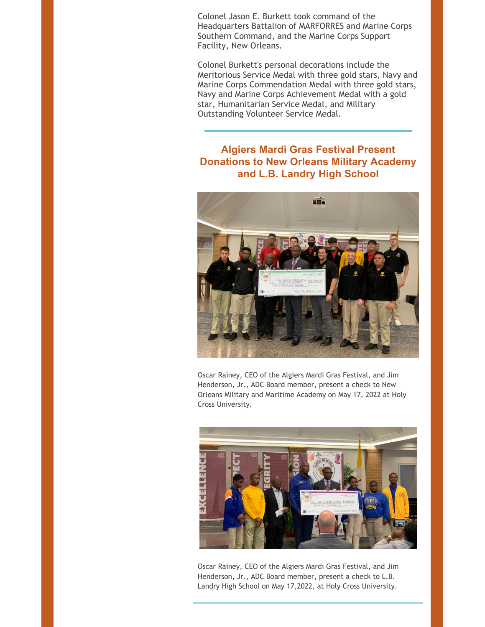Colonel Jason E. Burkett took command of the Headquarters Battalion of MARFORRES and Marine Corps Southern Command, and the Marine Corps Support Facility, New Orleans.

Colonel Burkett's personal decorations include the Meritorious Service Medal with three gold stars, Navy and Marine Corps Commendation Medal with three gold stars, Navy and Marine Corps Achievement Medal with a gold star, Humanitarian Service Medal, and Military Outstanding Volunteer Service Medal.

# **Algiers Mardi Gras Festival Present Donations to New Orleans Military Academy and L.B. Landry High School**



Oscar Rainey, CEO of the Algiers Mardi Gras Festival, and Jim Henderson, Jr., ADC Board member, present a check to New Orleans Military and Maritime Academy on May 17, 2022 at Holy Cross University.



Oscar Rainey, CEO of the Algiers Mardi Gras Festival, and Jim Henderson, Jr., ADC Board member, present a check to L.B. Landry High School on May 17,2022, at Holy Cross University.